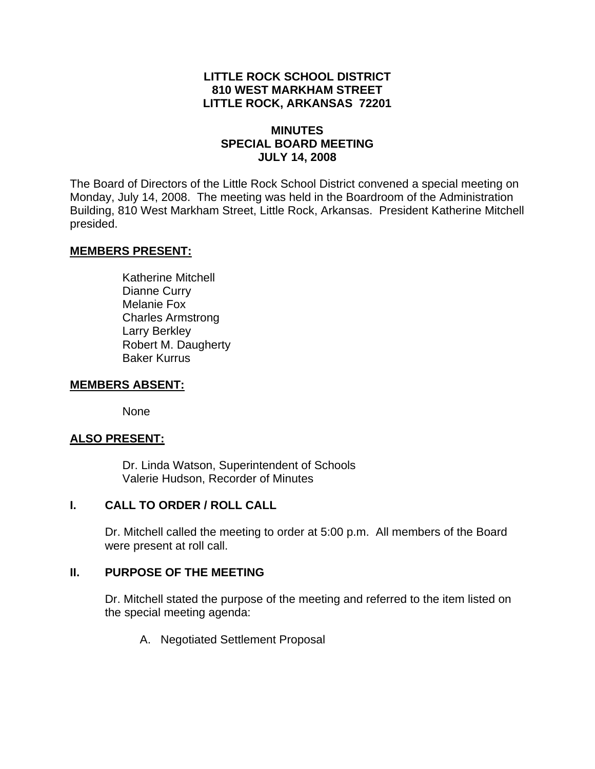# **LITTLE ROCK SCHOOL DISTRICT 810 WEST MARKHAM STREET LITTLE ROCK, ARKANSAS 72201**

# **MINUTES SPECIAL BOARD MEETING JULY 14, 2008**

The Board of Directors of the Little Rock School District convened a special meeting on Monday, July 14, 2008. The meeting was held in the Boardroom of the Administration Building, 810 West Markham Street, Little Rock, Arkansas. President Katherine Mitchell presided.

## **MEMBERS PRESENT:**

 Katherine Mitchell Dianne Curry Melanie Fox Charles Armstrong Larry Berkley Robert M. Daugherty Baker Kurrus

#### **MEMBERS ABSENT:**

None

# **ALSO PRESENT:**

 Dr. Linda Watson, Superintendent of Schools Valerie Hudson, Recorder of Minutes

## **I. CALL TO ORDER / ROLL CALL**

Dr. Mitchell called the meeting to order at 5:00 p.m. All members of the Board were present at roll call.

## **II. PURPOSE OF THE MEETING**

Dr. Mitchell stated the purpose of the meeting and referred to the item listed on the special meeting agenda:

A. Negotiated Settlement Proposal